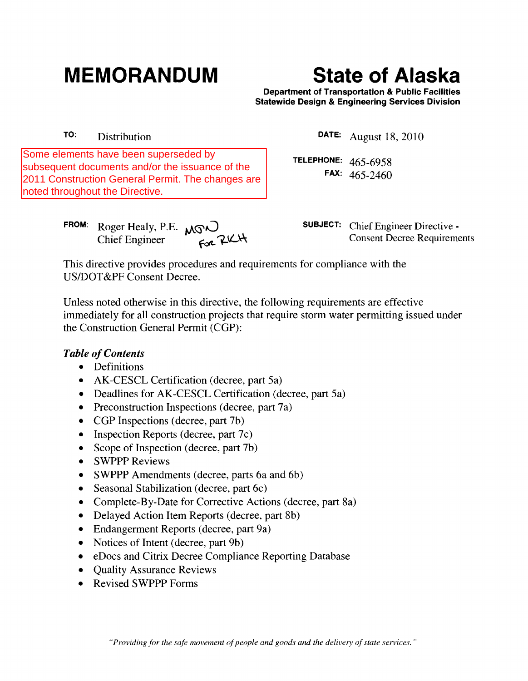# **MEMORANDUM State of Alaska**

Department of Transportation & Public Facilities Statewide Design & Engineering Services Division

TO: Distribution

Some elements have been superseded by subsequent documents and/or the issuance of the 2011 Construction General Permit. The changes are noted throughout the Directive.

DATE: August 18,2010

TELEPHONE: 465-6958 FAX: 465-2460

FROM: Roger Healy, P.E.  $\sqrt{S}$ Chief Engineer  $\epsilon_{\text{c}}$   $\lambda_{\text{c}}$   $\lambda_{\text{c}}$   $\lambda_{\text{c}}$   $\lambda_{\text{c}}$   $\lambda_{\text{c}}$   $\lambda_{\text{c}}$   $\lambda_{\text{c}}$   $\lambda_{\text{c}}$   $\lambda_{\text{c}}$   $\lambda_{\text{c}}$   $\lambda_{\text{c}}$   $\lambda_{\text{c}}$   $\lambda_{\text{c}}$   $\lambda_{\text{c}}$   $\lambda_{\text{c}}$   $\lambda_{\text{c}}$   $\lambda_{\text{c}}$   $\lambda_{\text{c$ 

This directive provides procedures and requirements for compliance with the USIDOT &PF Consent Decree.

Unless noted otherwise in this directive, the following requirements are effective immediately for all construction projects that require storm water permitting issued under the Construction General Permit (CGP):

# **Table of Contents**

- Definitions
- AK-CESCL Certification (decree, part 5a)
- Deadlines for AK-CESCL Certification (decree, part 5a)
- Preconstruction Inspections (decree, part 7a)
- CGP Inspections (decree, part 7b)
- Inspection Reports (decree, part 7c)
- Scope of Inspection (decree, part 7b)
- SWPPP Reviews
- SWPPP Amendments (decree, parts 6a and 6b)
- Seasonal Stabilization (decree, part 6c)
- Complete-By-Date for Corrective Actions (decree, part 8a)
- Delayed Action Item Reports (decree, part 8b)
- Endangerment Reports (decree, part 9a)
- Notices of Intent (decree, part 9b)
- eDocs and Citrix Decree Compliance Reporting Database
- Quality Assurance Reviews
- Revised SWPPP Forms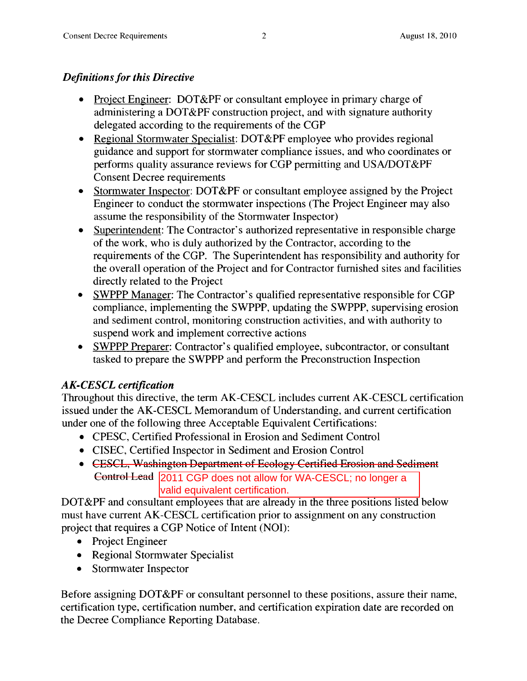# *Definitions for this Directive*

- Project Engineer: DOT&PF or consultant employee in primary charge of administering a DOT&PF construction project, and with signature authority delegated according to the requirements of the CGP
- Regional Stormwater Specialist: DOT&PF employee who provides regional guidance and support for stormwater compliance issues, and who coordinates or performs quality assurance reviews for CGP permitting and USA/DOT&PF Consent Decree requirements
- Stormwater Inspector: DOT&PF or consultant employee assigned by the Project Engineer to conduct the stormwater inspections (The Project Engineer may also assume the responsibility of the Stormwater Inspector)
- Superintendent: The Contractor's authorized representative in responsible charge of the work, who is duly authorized by the Contractor, according to the requirements of the CGP. The Superintendent has responsibility and authority for the overall operation of the Project and for Contractor furnished sites and facilities directly related to the Project
- SWPPP Manager: The Contractor's qualified representative responsible for CGP compliance, implementing the SWPPP, updating the SWPPP, supervising erosion and sediment control, monitoring construction activities, and with authority to suspend work and implement corrective actions
- SWPPP Preparer: Contractor's qualified employee, subcontractor, or consultant tasked to prepare the SWPPP and perform the Preconstruction Inspection

# *AK-CESCL certification*

Throughout this directive, the term AK-CESCL includes current AK-CESCL certification issued under the AK-CESCL Memorandum of Understanding, and current certification under one of the following three Acceptable Equivalent Certifications:

- CPESC, Certified Professional in Erosion and Sediment Control
- CISEC, Certified Inspector in Sediment and Erosion Control
- CESCL, Washington Department of Ecology Certified Erosion and Sediment Control Lead 2011 CGP does not allow for WA-CESCL; no longer a valid equivalent certification.

DOT&PF and consultant employees that are already in the three positions listed below must have current AK-CESCL certification prior to assignment on any construction project that requires a CGP Notice of Intent (NOI):

- Project Engineer
- Regional Stormwater Specialist
- Stormwater Inspector

Before assigning DOT&PF or consultant personnel to these positions, assure their name, certification type, certification number, and certification expiration date are recorded on the Decree Compliance Reporting Database.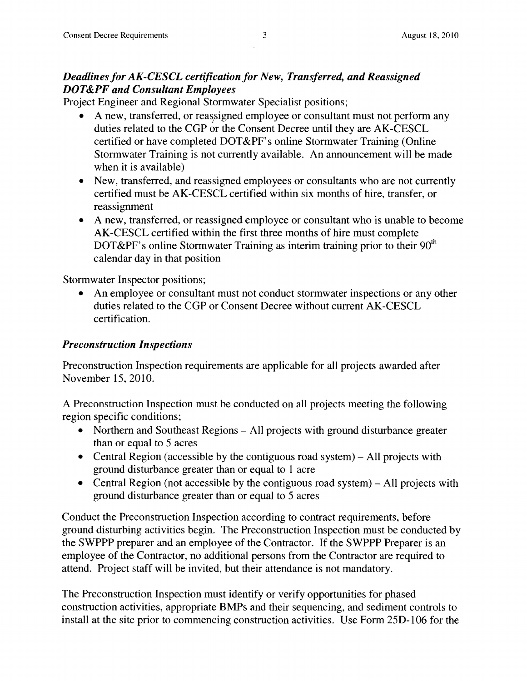#### *Deadlines for AK-CESCL certification for New, Transferred, and Reassigned DOT&PF and Consultant Employees*

Project Engineer and Regional Stormwater Specialist positions;

- A new, transferred, or reassigned employee or consultant must not perform any duties related to the CGP or the Consent Decree until they are AK-CESCL certified or have completed DOT&PF's online Stormwater Training (Online Stormwater Training is not currently available. An announcement will be made when it is available)
- New, transferred, and reassigned employees or consultants who are not currently certified must be AK-CESCL certified within six months of hire, transfer, or reassignment
- A new, transferred, or reassigned employee or consultant who is unable to become AK-CESCL certified within the first three months of hire must complete DOT&PF's online Stormwater Training as interim training prior to their  $90<sup>th</sup>$ calendar day in that position

Stormwater Inspector positions;

• An employee or consultant must not conduct stormwater inspections or any other duties related to the CGP or Consent Decree without current AK-CESCL certification.

# *Preconstruction Inspections*

Preconstruction Inspection requirements are applicable for all projects awarded after November 15,2010.

A Preconstruction Inspection must be conducted on all projects meeting the following region specific conditions;

- Northern and Southeast Regions All projects with ground disturbance greater than or equal to 5 acres
- Central Region (accessible by the contiguous road system)  $-$  All projects with ground disturbance greater than or equal to 1 acre
- Central Region (not accessible by the contiguous road system)  $-$  All projects with ground disturbance greater than or equal to 5 acres

Conduct the Preconstruction Inspection according to contract requirements, before ground disturbing activities begin. The Preconstruction Inspection must be conducted by the SWPPP preparer and an employee of the Contractor. If the SWPPP Preparer is an employee of the Contractor, no additional persons from the Contractor are required to attend. Project staff will be invited, but their attendance is not mandatory.

The Preconstruction Inspection must identify or verify opportunities for phased construction activities, appropriate BMPs and their sequencing, and sediment controls to install at the site prior to commencing construction activities. Use Form 25D-106 for the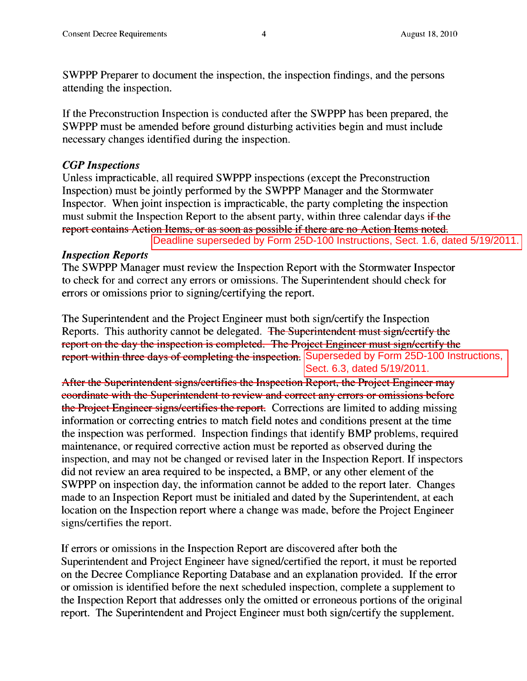SWPPP Preparer to document the inspection, the inspection findings, and the persons attending the inspection.

If the Preconstruction Inspection is conducted after the SWPPP has been prepared, the SWPPP must be amended before ground disturbing activities begin and must include necessary changes identified during the inspection.

#### *CGP Inspections*

Unless impracticable, all required SWPPP inspections (except the Preconstruction Inspection) must be jointly performed by the SWPPP Manager and the Stormwater Inspector. When joint inspection is impracticable, the party completing the inspection must submit the Inspection Report to the absent party, within three calendar days if the report contains Action Items, or as soon as possible if there are no Action Items noted.

#### *Inspection Reports*

The SWPPP Manager must review the Inspection Report with the Stormwater Inspector to check for and correct any errors or omissions. The Superintendent should check for errors or omissions prior to signing/certifying the report.

The Superintendent and the Project Engineer must both sign/certify the Inspection Reports. This authority cannot be delegated. The Superintendent must sign/certify the report on the day the inspection is completed. The Project Engineer must sign/certify the report within three days of completing the inspection. Superseded by Form 25D-100 Instructions, Deadline superseded by Form 25D-100 Instructions, Sect. 1.6, dated 5/19/2011.<br>
Er must review the Inspection Report with the Stormwater Inspector<br>
rect any errors or omissions. The Superintendent should check for<br>
rorior t

After the Superintendent signs/certifies the Inspection Report, the Project Engineer may coordinate with the Superintendent to review and correct any errors or omissions before the Project Engineer signs/certifies the report. Corrections are limited to adding missing information or correcting entries to match field notes and conditions present at the time the inspection was performed. Inspection findings that identify BMP problems, required maintenance, or required corrective action must be reported as observed during the inspection, and may not be changed or revised later in the Inspection Report. If inspectors did not review an area required to be inspected, a BMP, or any other element of the SWPPP on inspection day, the information cannot be added to the report later. Changes made to an Inspection Report must be initialed and dated by the Superintendent, at each location on the Inspection report where a change was made, before the Project Engineer signs/certifies the report.

If errors or omissions in the Inspection Report are discovered after both the Superintendent and Project Engineer have signed/certified the report, it must be reported on the Decree Compliance Reporting Database and an explanation provided. If the error or omission is identified before the next scheduled inspection, complete a supplement to the Inspection Report that addresses only the omitted or erroneous portions of the original report. The Superintendent and Project Engineer must both sign/certify the supplement.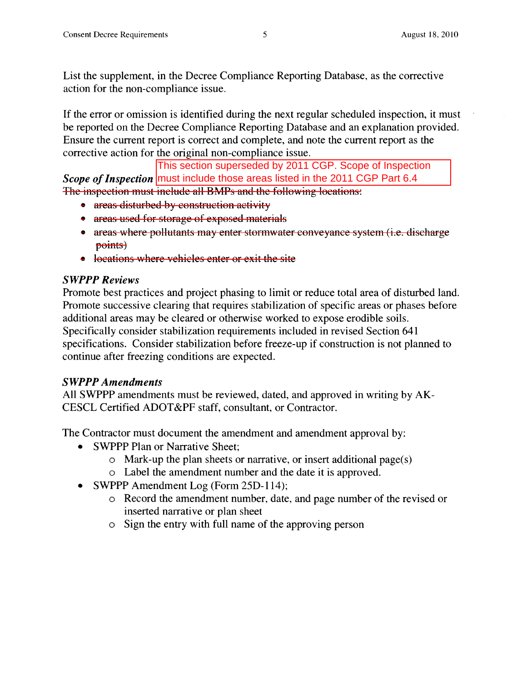List the supplement, in the Decree Compliance Reporting Database, as the corrective action for the non-compliance issue.

If the error or omission is identified during the next regular scheduled inspection, it must be reported on the Decree Compliance Reporting Database and an explanation provided. Ensure the current report is correct and complete, and note the current report as the corrective action for the original non-compliance issue.

 $\emph{Scope of Inspection}$  <mark>must include those areas listed in the 2011 CGP Part 6.4</mark> The inspection must include all BMPs and the following locations: This section superseded by 2011 CGP. Scope of Inspection

- areas disturbed by construction activity
- areas used for storage of exposed materials
- areas where pollutants may enter stormwater conveyance system (i.e. discharge points)
- locations where vehicles enter or exit the site

# swppp *Reviews*

Promote best practices and project phasing to limit or reduce total area of disturbed land. Promote successive clearing that requires stabilization of specific areas or phases before additional areas may be cleared or otherwise worked to expose erodible soils. Specifically consider stabilization requirements included in revised Section 641 specifications. Consider stabilization before freeze-up if construction is not planned to continue after freezing conditions are expected.

# *SWPPP Amendments*

All SWPPP amendments must be reviewed, dated, and approved in writing by AK-CESCL Certified ADOT &PF staff, consultant, or Contractor.

The Contractor must document the amendment and amendment approval by:

- SWPPP Plan or Narrative Sheet;
	- o Mark-up the plan sheets or narrative, or insert additional page(s)
	- o Label the amendment number and the date it is approved.
- SWPPP Amendment Log (Form 25D-114);
	- o Record the amendment number, date, and page number of the revised or inserted narrative or plan sheet
	- o Sign the entry with full name of the approving person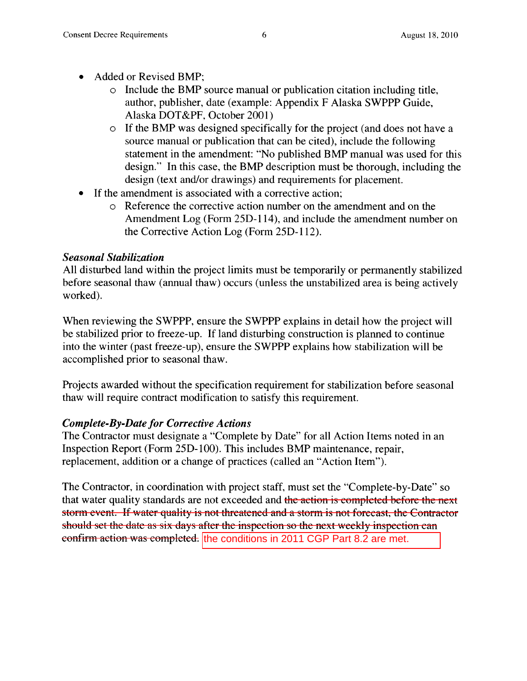- Added or Revised BMP:
	- o Include the BMP source manual or publication citation including title, author, publisher, date (example: Appendix F Alaska SWPPP Guide, Alaska DOT&PF, October 2001)
	- o If the BMP was designed specifically for the project (and does not have a source manual or publication that can be cited), include the following statement in the amendment: "No published BMP manual was used for this design." In this case, the BMP description must be thorough, including the design (text and/or drawings) and requirements for placement.
- If the amendment is associated with a corrective action;
	- o Reference the corrective action number on the amendment and on the Amendment Log (Form 25D-114), and include the amendment number on the Corrective Action Log (Form 25D-112).

# *Seasonal Stabilization*

All disturbed land within the project limits must be temporarily or permanently stabilized before seasonal thaw (annual thaw) occurs (unless the unstabilized area is being actively worked).

When reviewing the SWPPP, ensure the SWPPP explains in detail how the project will be stabilized prior to freeze-up. If land disturbing construction is planned to continue into the winter (past freeze-up), ensure the SWPPP explains how stabilization will be accomplished prior to seasonal thaw.

Projects awarded without the specification requirement for stabilization before seasonal thaw will require contract modification to satisfy this requirement.

# *Complete-By-Date for Corrective Actions*

The Contractor must designate a "Complete by Date" for all Action Items noted in an Inspection Report (Form 25D-IOO). This includes BMP maintenance, repair, replacement, addition or a change of practices (called an "Action Item").

The Contractor, in coordination with project staff, must set the "Complete-by-Date" so that water quality standards are not exceeded and the action is completed before the next storm event. If water quality is not threatened and a storm is not forecast, the Contractor should set the date as six days after the inspection so the next weekly inspection can c<del>onfirm action was completed.</del> the conditions in 2011 CGP Part 8.2 are met.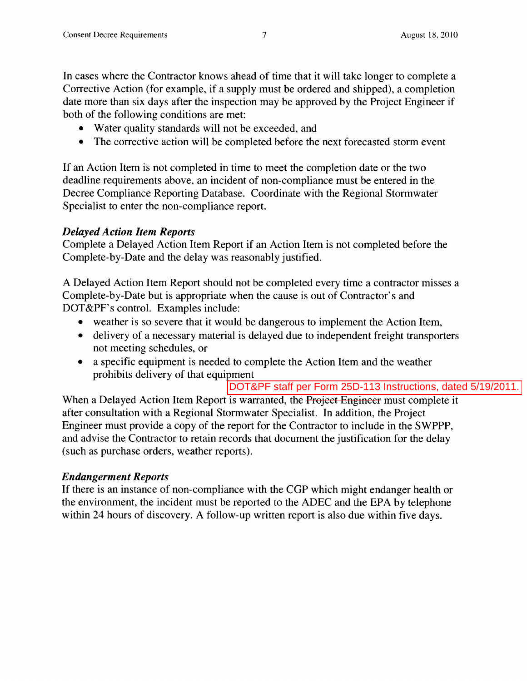In cases where the Contractor knows ahead of time that it will take longer to complete a Corrective Action (for example, if a supply must be ordered and shipped), a completion date more than six days after the inspection may be approved by the Project Engineer if both of the following conditions are met:

- Water quality standards will not be exceeded, and
- The corrective action will be completed before the next forecasted storm event

If an Action Item is not completed in time to meet the completion date or the two deadline requirements above, an incident of non-compliance must be entered in the Decree Compliance Reporting Database. Coordinate with the Regional Stormwater Specialist to enter the non-compliance report.

#### *Delayed Action Item Reports*

Complete a Delayed Action Item Report if an Action Item is not completed before the Complete-by-Date and the delay was reasonably justified.

A Delayed Action Item Report should not be completed every time a contractor misses a Complete-by-Date but is appropriate when the cause is out of Contractor's and DOT&PF's control. Examples include:

- weather is so severe that it would be dangerous to implement the Action Item,
- delivery of a necessary material is delayed due to independent freight transporters not meeting schedules, or
- a specific equipment is needed to complete the Action Item and the weather prohibits delivery of that equipment

DOT&PF staff per Form 25D-113 Instructions, dated 5/19/2011.

When a Delayed Action Item Report is warranted, the Project Engineer must complete it after consultation with a Regional Stormwater Specialist. In addition, the Project Engineer must provide a copy of the report for the Contractor to include in the SWPPP, and advise the Contractor to retain records that document the justification for the delay (such as purchase orders, weather reports).

# *Endangerment Reports*

If there is an instance of non-compliance with the CGP which might endanger health or the environment, the incident must be reported to the ADEC and the EPA by telephone within 24 hours of discovery. A follow-up written report is also due within five days.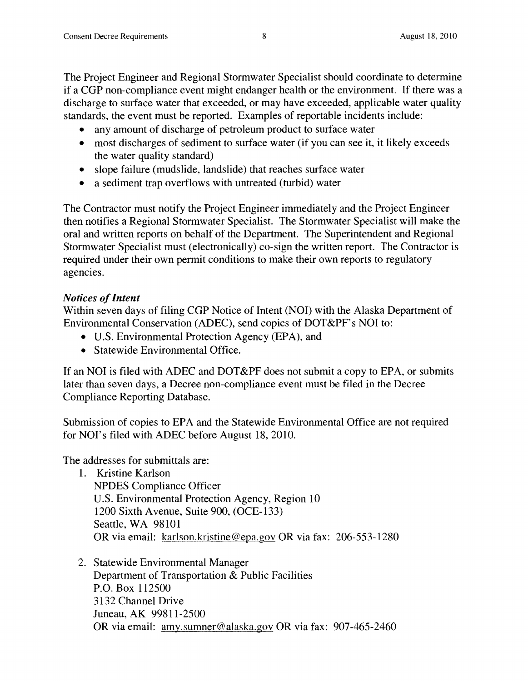The Project Engineer and Regional Stormwater Specialist should coordinate to determine if a CGP non-compliance event might endanger health or the environment. If there was a discharge to surface water that exceeded, or may have exceeded, applicable water quality standards, the event must be reported. Examples of reportable incidents include:

- any amount of discharge of petroleum product to surface water
- most discharges of sediment to surface water (if you can see it, it likely exceeds the water quality standard)
- slope failure (mudslide, landslide) that reaches surface water
- a sediment trap overflows with untreated (turbid) water

The Contractor must notify the Project Engineer immediatel y and the Project Engineer then notifies a Regional Stormwater Specialist. The Stormwater Specialist will make the oral and written reports on behalf of the Department. The Superintendent and Regional Stormwater Specialist must (electronically) co-sign the written report. The Contractor is required under their own permit conditions to make their own reports to regulatory agencies.

# *Notices of Intent*

Within seven days of filing CGP Notice of Intent (NOI) with the Alaska Department of Environmental Conservation (ADEC), send copies of DOT&PF's NOI to:

- U.S. Environmental Protection Agency (EPA), and
- Statewide Environmental Office.

If an NOI is filed with ADEC and DOT&PF does not submit a copy to EPA, or submits later than seven days, a Decree non-compliance event must be filed in the Decree Compliance Reporting Database.

Submission of copies to EPA and the Statewide Environmental Office are not required for NOI's filed with ADEC before August 18, 2010.

The addresses for submittals are:

- 1. Kristine Karlson NPDES Compliance Officer U.S. Environmental Protection Agency, Region 10 1200 Sixth Avenue, Suite 900, (OCE-133) Seattle, WA 98101 OR via email: karlson.kristine@epa.gov OR via fax: 206-553-1280
- 2. Statewide Environmental Manager Department of Transportation & Public Facilities P.O. Box 112500 3132 Channel Drive Juneau, AK 99811-2500 OR via email: amy.sumner@alaska.gov OR via fax: 907-465-2460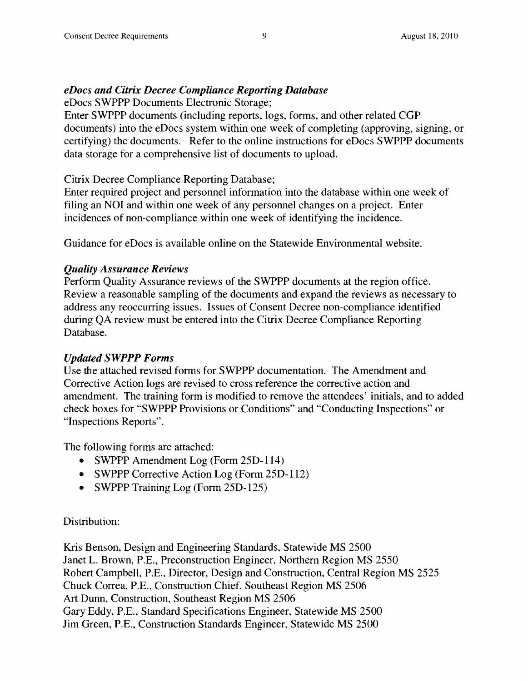#### *eDocs and Citrix Decree Compliance Reporting Database*

eDocs SWPPP Documents Electronic Storage;

Enter SWPPP documents (including reports, logs, forms, and other related CGP documents) into the eDocs system within one week of completing (approving, signing, or certifying) the documents. Refer to the online instructions for eDocs SWPPP documents data storage for a comprehensive list of documents to upload.

Citrix Decree Compliance Reporting Database;

Enter required project and personnel information into the database within one week of filing an NOI and within one week of any personnel changes on a project. Enter incidences of non-compliance within one week of identifying the incidence.

Guidance for eDocs is available online on the Statewide Environmental website.

#### *Qualify Assurance Reviews*

Perform Quality Assurance reviews of the SWPPP documents at the region office. Review a reasonable sampling of the documents and expand the reviews as necessary to address any reoccurring issues. Issues of Consent Decree non-compliance identified during QA review must be entered into the Citrix Decree Compliance Reporting Database.

#### *Updated SWPPP Forms*

Use the attached revised forms for SWPPP documentation. The Amendment and Corrective Action logs are revised to cross reference the corrective action and amendment. The training form is modified to remove the attendees' initials, and to added check boxes for "SWPPP Provisions or Conditions" and "Conducting Inspections" or "Inspections Reports".

The following forms are attached:

- SWPPP Amendment Log (Form 25D-114)
- SWPPP Corrective Action Log (Form 25D-112)
- SWPPP Training Log (Form 25D-125)

#### Distribution:

Kris Benson, Design and Engineering Standards, Statewide MS 2500 Janet L. Brown, P.E., Preconstruction Engineer, Northern Region MS 2550 Robert Campbell, P.E., Director, Design and Construction, Central Region MS 2525 Chuck Correa, P.E., Construction Chief, Southeast Region MS 2506 Art Dunn, Construction, Southeast Region MS 2506 Gary Eddy, P.E., Standard Specifications Engineer, Statewide MS 2500 Jim Green, P.E., Construction Standards Engineer, Statewide MS 2500